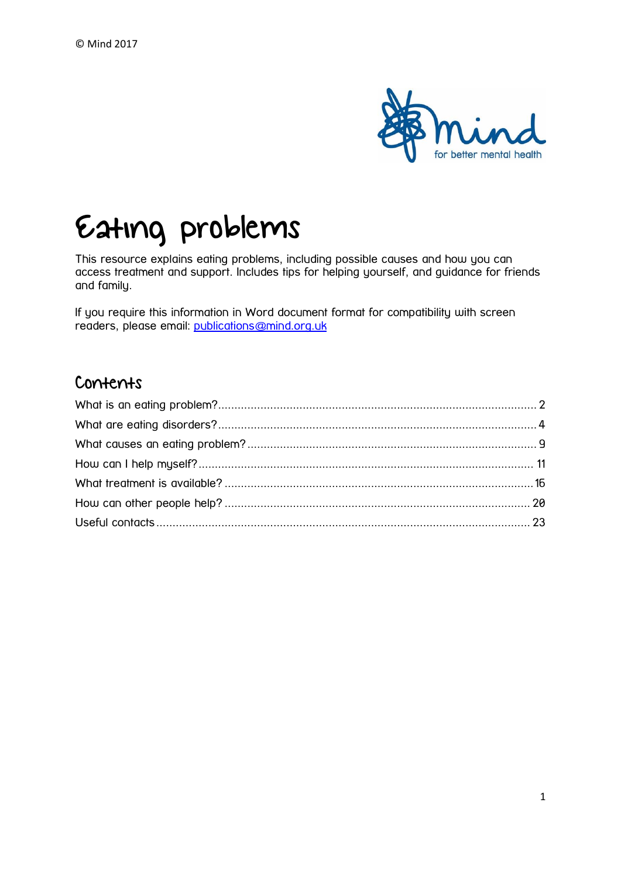

# Eating problems

This resource explains eating problems, including possible causes and how you can access treatment and support. Includes tips for helping yourself, and guidance for friends and family.

If you require this information in Word document format for compatibility with screen readers, please email: [publications@mind.org.uk](mailto:publications@mind.org.uk)

## Contents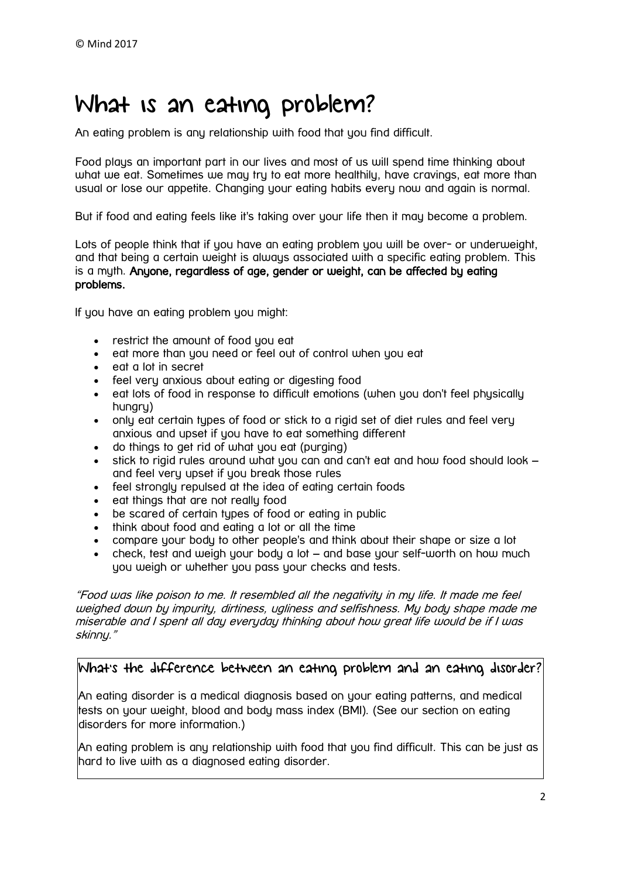# <span id="page-1-0"></span>What is an eating problem?

An eating problem is any relationship with food that you find difficult.

Food plays an important part in our lives and most of us will spend time thinking about what we eat. Sometimes we may try to eat more healthily, have cravings, eat more than usual or lose our appetite. Changing your eating habits every now and again is normal.

But if food and eating feels like it's taking over your life then it may become a problem.

Lots of people think that if you have an eating problem you will be over- or underweight, and that being a certain weight is always associated with a specific eating problem. This is a myth. Anyone, regardless of age, gender or weight, can be affected by eating problems.

If you have an eating problem you might:

- restrict the amount of food you eat
- eat more than you need or feel out of control when you eat
- eat a lot in secret
- feel very anxious about eating or digesting food
- eat lots of food in response to difficult emotions (when you don't feel physically hungry)
- only eat certain types of food or stick to a rigid set of diet rules and feel very anxious and upset if you have to eat something different
- do things to get rid of what you eat (purging)
- stick to rigid rules around what you can and can't eat and how food should look and feel very upset if you break those rules
- feel strongly repulsed at the idea of eating certain foods
- eat things that are not really food
- be scared of certain types of food or eating in public
- think about food and eating a lot or all the time
- compare your body to other people's and think about their shape or size a lot
- check, test and weigh your body a lot and base your self-worth on how much you weigh or whether you pass your checks and tests.

"Food was like poison to me. It resembled all the negativity in my life. It made me feel weighed down by impurity, dirtiness, ugliness and selfishness. My body shape made me miserable and I spent all day everyday thinking about how great life would be if I was skinny."

### What's the difference between an eating problem and an eating disorder?

An eating disorder is a medical diagnosis based on your eating patterns, and medical tests on your weight, blood and body mass index (BMI). (See our section on eating disorders for more information.)

An eating problem is any relationship with food that you find difficult. This can be just as hard to live with as a diagnosed eating disorder.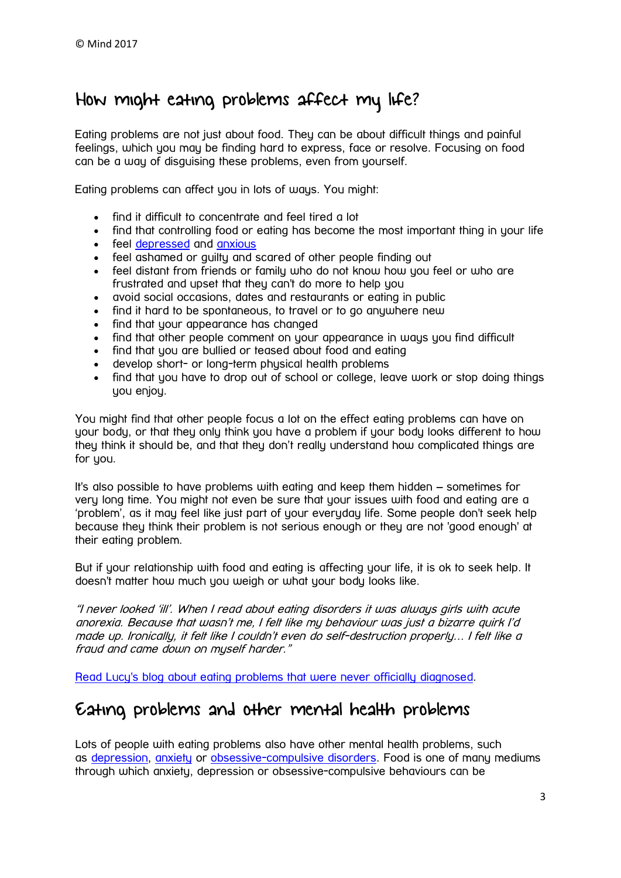# How might eating problems affect my life?

Eating problems are not just about food. They can be about difficult things and painful feelings, which you may be finding hard to express, face or resolve. Focusing on food can be a way of disauising these problems, even from yourself.

Eating problems can affect you in lots of ways. You might:

- find it difficult to concentrate and feel tired a lot
- find that controlling food or eating has become the most important thing in your life
- feel [depressed](https://www.mind.org.uk/information-support/types-of-mental-health-problems/depression/) and [anxious](https://www.mind.org.uk/information-support/types-of-mental-health-problems/anxiety-and-panic-attacks/)
- feel ashamed or guilty and scared of other people finding out
- feel distant from friends or family who do not know how you feel or who are frustrated and upset that they can't do more to help you
- avoid social occasions, dates and restaurants or eating in public
- find it hard to be spontaneous, to travel or to go anywhere new
- find that your appearance has changed
- find that other people comment on your appearance in ways you find difficult
- find that you are bullied or teased about food and eating
- develop short- or long-term physical health problems
- find that you have to drop out of school or college, leave work or stop doing things you enjoy.

You might find that other people focus a lot on the effect eating problems can have on your body, or that they only think you have a problem if your body looks different to how they think it should be, and that they don't really understand how complicated things are for you.

It's also possible to have problems with eating and keep them hidden – sometimes for very long time. You might not even be sure that your issues with food and eating are a 'problem', as it may feel like just part of your everyday life. Some people don't seek help because they think their problem is not serious enough or they are not 'good enough' at their eating problem.

But if your relationship with food and eating is affecting your life, it is ok to seek help. It doesn't matter how much you weigh or what your body looks like.

"I never looked 'ill'. When I read about eating disorders it was always girls with acute anorexia. Because that wasn't me, I felt like my behaviour was just a bizarre quirk I'd made up. Ironically, it felt like I couldn't even do self-destruction properly… I felt like a fraud and came down on myself harder."

[Read Lucy's blog about eating problems that were never officially diagnosed.](https://www.mind.org.uk/information-support/your-stories/do-i-have-a-right-to-recovery/#.WHeUSGSLQlI)

## Eating problems and other mental health problems

Lots of people with eating problems also have other mental health problems, such as [depression,](https://www.mind.org.uk/information-support/types-of-mental-health-problems/depression/) [anxiety](https://www.mind.org.uk/information-support/types-of-mental-health-problems/anxiety-and-panic-attacks/) or [obsessive-compulsive disorders.](https://www.mind.org.uk/information-support/types-of-mental-health-problems/obsessive-compulsive-disorder-ocd/) Food is one of many mediums through which anxiety, depression or obsessive-compulsive behaviours can be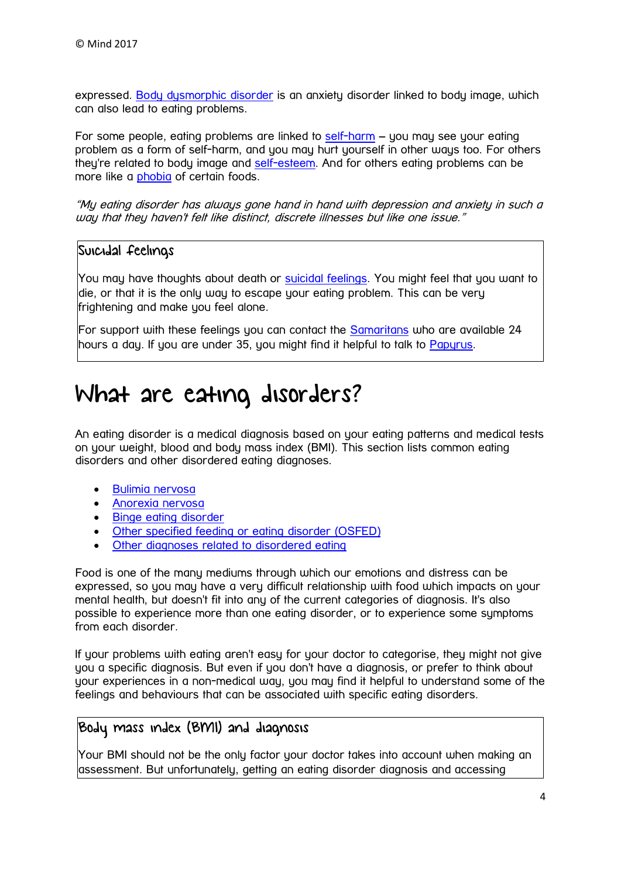expressed. [Body dysmorphic disorder](https://www.mind.org.uk/information-support/types-of-mental-health-problems/body-dysmorphic-disorder-bdd/) is an anxiety disorder linked to body image, which can also lead to eating problems.

For some people, eating problems are linked to [self-harm](https://www.mind.org.uk/information-support/types-of-mental-health-problems/self-harm/) – you may see your eating problem as a form of self-harm, and you may hurt yourself in other ways too. For others they're related to body image and [self-esteem.](https://www.mind.org.uk/information-support/types-of-mental-health-problems/self-esteem/) And for others eating problems can be more like a **[phobia](https://www.mind.org.uk/information-support/types-of-mental-health-problems/phobias/about-phobias/)** of certain foods.

"My eating disorder has always gone hand in hand with depression and anxiety in such a way that they haven't felt like distinct, discrete illnesses but like one issue."

### Suicidal feelings

You may have thoughts about death or [suicidal feelings.](https://www.mind.org.uk/information-support/types-of-mental-health-problems/suicidal-feelings/) You might feel that you want to die, or that it is the only way to escape your eating problem. This can be very frightening and make you feel alone.

For support with these feelings you can contact the [Samaritans](http://www.samaritans.org/) who are available 24 hours a day. If you are under 35, you might find it helpful to talk to [Papyrus.](https://www.papyrus-uk.org/)

# <span id="page-3-0"></span>What are eating disorders?

An eating disorder is a medical diagnosis based on your eating patterns and medical tests on your weight, blood and body mass index (BMI). This section lists common eating disorders and other disordered eating diagnoses.

- **•** [Bulimia nervosa](https://www.mind.org.uk/information-support/types-of-mental-health-problems/eating-problems/types-of-eating-disorders/#bulimia)
- [Anorexia nervosa](https://www.mind.org.uk/information-support/types-of-mental-health-problems/eating-problems/types-of-eating-disorders/#anorexia)
- [Binge eating disorder](https://www.mind.org.uk/information-support/types-of-mental-health-problems/eating-problems/types-of-eating-disorders/#BED)
- [Other specified feeding or eating disorder \(OSFED\)](https://www.mind.org.uk/information-support/types-of-mental-health-problems/eating-problems/types-of-eating-disorders/#OSFED)
- [Other diagnoses related to disordered eating](https://www.mind.org.uk/information-support/types-of-mental-health-problems/eating-problems/types-of-eating-disorders/#other)

Food is one of the many mediums through which our emotions and distress can be expressed, so you may have a very difficult relationship with food which impacts on your mental health, but doesn't fit into any of the current categories of diagnosis. It's also possible to experience more than one eating disorder, or to experience some symptoms from each disorder.

If your problems with eating aren't easy for your doctor to categorise, they might not give you a specific diagnosis. But even if you don't have a diagnosis, or prefer to think about your experiences in a non-medical way, you may find it helpful to understand some of the feelings and behaviours that can be associated with specific eating disorders.

# Body mass index (BMI) and diagnosis

Your BMI should not be the only factor your doctor takes into account when making an assessment. But unfortunately, getting an eating disorder diagnosis and accessing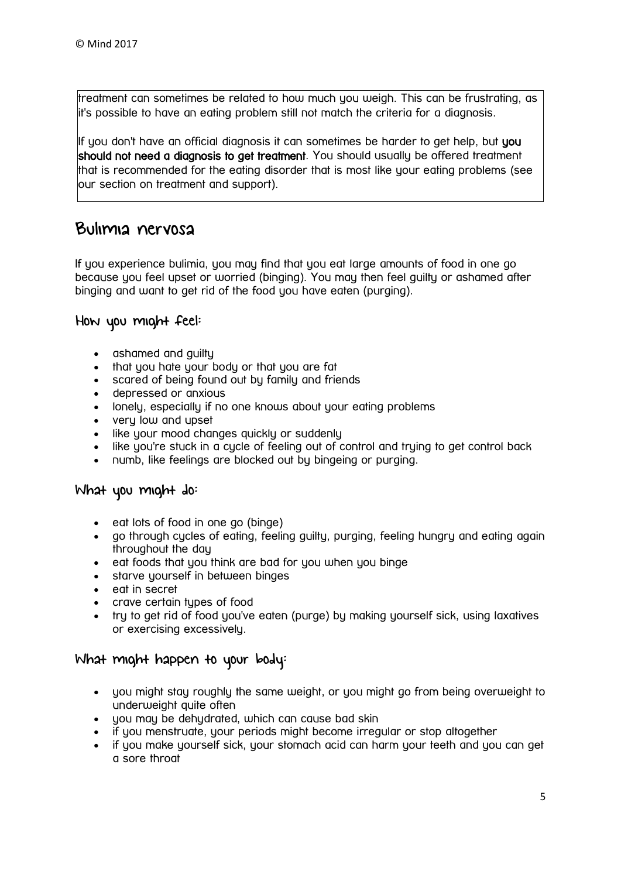treatment can sometimes be related to how much you weigh. This can be frustrating, as it's possible to have an eating problem still not match the criteria for a diagnosis.

If you don't have an official diagnosis it can sometimes be harder to get help, but you should not need a diagnosis to get treatment. You should usually be offered treatment that is recommended for the eating disorder that is most like your eating problems (see our section on treatment and support).

### Bulimia nervosa

If you experience bulimia, you may find that you eat large amounts of food in one go because you feel upset or worried (binging). You may then feel guilty or ashamed after binging and want to get rid of the food you have eaten (purging).

### How you might feel:

- ashamed and quiltu
- that you hate your body or that you are fat
- scared of being found out by family and friends
- depressed or anxious
- lonely, especially if no one knows about your eating problems
- very low and upset
- like your mood changes quickly or suddenly
- like you're stuck in a cycle of feeling out of control and truing to get control back
- numb, like feelings are blocked out by bingeing or purging.

### What you might do:

- eat lots of food in one go (binge)
- go through cycles of eating, feeling guilty, purging, feeling hungry and eating again throughout the day
- eat foods that you think are bad for you when you binge
- starve yourself in between binges
- eat in secret
- crave certain types of food
- try to get rid of food you've eaten (purge) by making yourself sick, using laxatives or exercising excessively.

### What might happen to your body:

- you might stay roughly the same weight, or you might go from being overweight to underweight quite often
- you may be dehydrated, which can cause bad skin
- if you menstruate, your periods might become irregular or stop altogether
- if you make yourself sick, your stomach acid can harm your teeth and you can get a sore throat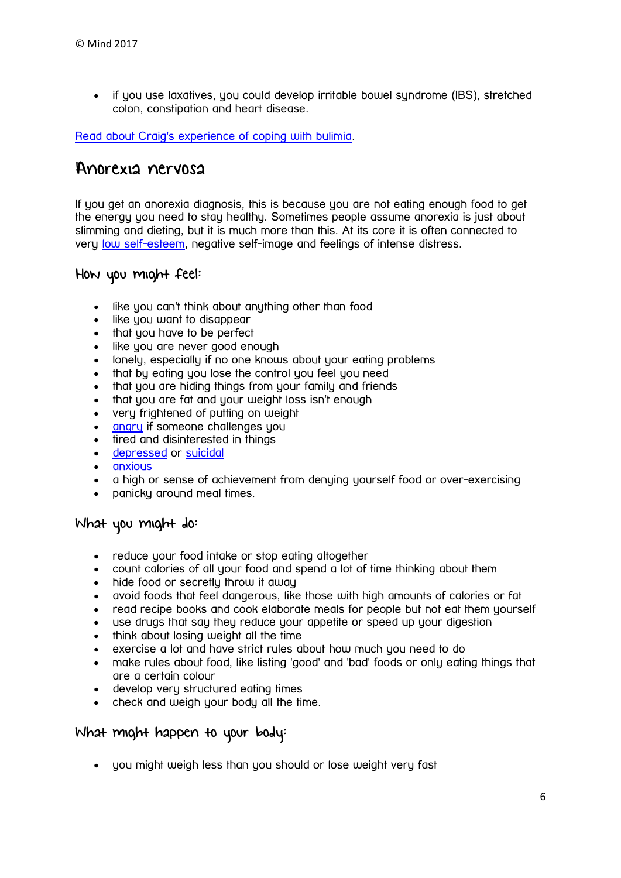if you use laxatives, you could develop irritable bowel syndrome (IBS), stretched colon, constipation and heart disease.

[Read about Craig's experience of coping with bulimia.](https://www.mind.org.uk/information-support/your-stories/a-young-man-coping-with-bulimia-my-experience/#.WJBg0NKLTIV)

### Anorexia nervosa

If you get an anorexia diagnosis, this is because you are not eating enough food to get the energy you need to stay healthy. Sometimes people assume anorexia is just about slimming and dieting, but it is much more than this. At its core it is often connected to very [low self-esteem,](https://www.mind.org.uk/information-support/types-of-mental-health-problems/self-esteem/) negative self-image and feelings of intense distress.

### How you might feel:

- like you can't think about anything other than food
- like you want to disappear
- that you have to be perfect
- like you are never good enough
- lonely, especially if no one knows about your eating problems
- that by eating you lose the control you feel you need
- that you are hiding things from your family and friends
- that you are fat and your weight loss isn't enough
- very frightened of putting on weight
- [angry](https://www.mind.org.uk/information-support/types-of-mental-health-problems/anger/#.WJBpK9KLTIU) if someone challenges you
- tired and disinterested in things
- [depressed](https://www.mind.org.uk/information-support/types-of-mental-health-problems/depression/#.WJBow9KLTIU) or [suicidal](https://www.mind.org.uk/information-support/types-of-mental-health-problems/suicidal-feelings/#.WJBo49KLTIU)
- [anxious](https://www.mind.org.uk/information-support/types-of-mental-health-problems/anxiety-and-panic-attacks/causes-of-anxiety/#.WJBo89KLTIU)
- a high or sense of achievement from denying yourself food or over-exercising
- panicky around meal times.

### What you might do:

- reduce your food intake or stop eating altogether
- count calories of all your food and spend a lot of time thinking about them
- hide food or secretly throw it away
- avoid foods that feel dangerous, like those with high amounts of calories or fat
- read recipe books and cook elaborate meals for people but not eat them yourself
- use drugs that say they reduce your appetite or speed up your digestion
- think about losing weight all the time
- exercise a lot and have strict rules about how much you need to do
- make rules about food, like listing 'good' and 'bad' foods or only eating things that are a certain colour
- develop very structured eating times
- check and weigh your body all the time.

### What might happen to your body:

you might weigh less than you should or lose weight very fast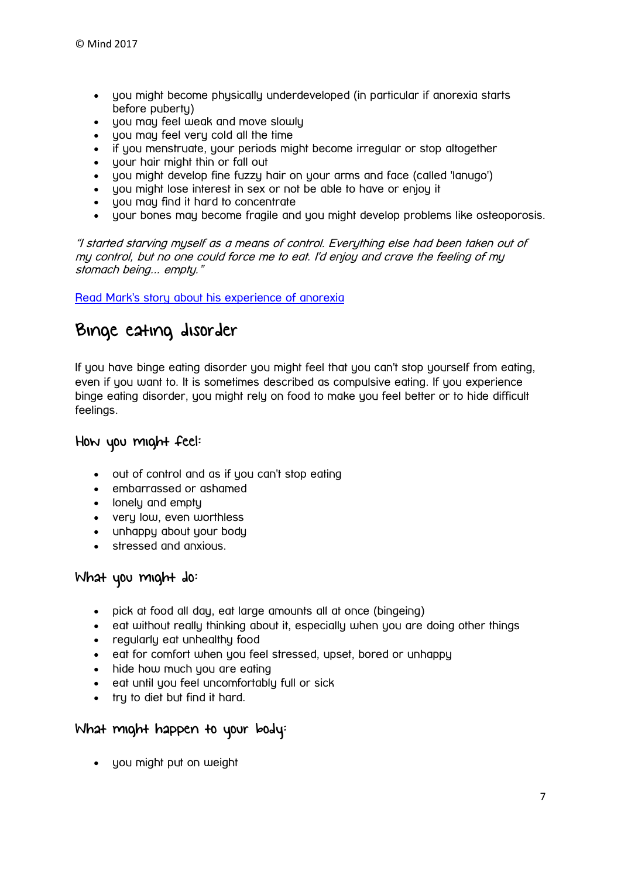- you might become physically underdeveloped (in particular if anorexia starts before puberty)
- you may feel weak and move slowly
- you may feel very cold all the time
- if you menstruate, your periods might become irregular or stop altogether
- your hair might thin or fall out
- you might develop fine fuzzy hair on your arms and face (called 'lanugo')
- uou might lose interest in sex or not be able to have or enjou it
- you may find it hard to concentrate
- your bones may become fragile and you might develop problems like osteoporosis.

"I started starving myself as a means of control. Everything else had been taken out of my control, but no one could force me to eat. I'd enjoy and crave the feeling of my stomach being... empty."

[Read Mark's story about his experience of anorexia](https://www.mind.org.uk/information-support/your-stories/not-just-a-girls-disease/#.WJB58dKLTIU)

# Binge eating disorder

If you have binge eating disorder you might feel that you can't stop yourself from eating, even if you want to. It is sometimes described as compulsive eating. If you experience binge eating disorder, you might rely on food to make you feel better or to hide difficult feelings.

### How you might feel:

- out of control and as if you can't stop eating
- embarrassed or ashamed
- lonely and empty
- very low, even worthless
- unhappy about your body
- stressed and anxious.

### What you might do:

- pick at food all day, eat large amounts all at once (bingeing)
- eat without really thinking about it, especially when you are doing other things
- regularly eat unhealthy food
- eat for comfort when you feel stressed, upset, bored or unhappy
- hide how much you are eating
- eat until you feel uncomfortably full or sick
- try to diet but find it hard.

### What might happen to your body:

• you might put on weight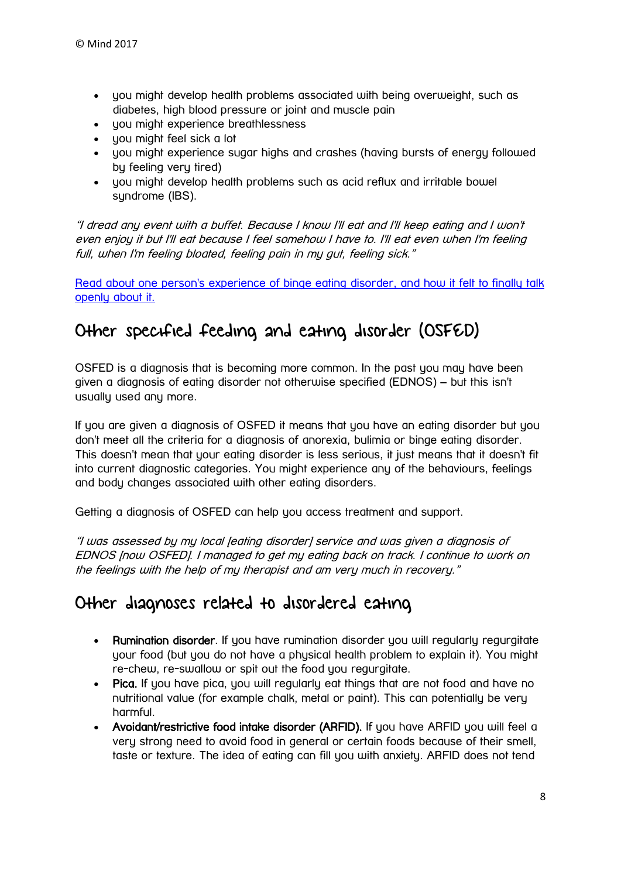- you might develop health problems associated with being overweight, such as diabetes, high blood pressure or joint and muscle pain
- you might experience breathlessness
- you might feel sick a lot
- you might experience sugar highs and crashes (having bursts of energy followed by feeling very tired)
- you might develop health problems such as acid reflux and irritable bowel syndrome (IBS).

"I dread any event with a buffet. Because I know I'll eat and I'll keep eating and I won't even enjoy it but I'll eat because I feel somehow I have to. I'll eat even when I'm feeling full, when I'm feeling bloated, feeling pain in my gut, feeling sick."

[Read about one person's experience of binge eating disorder,](https://www.mind.org.uk/information-support/your-stories/binge-eating-disorder-it-felt-momentous-to-have-a-calm-ordinary-conversation-about-it/#.WJBxMNKLTIU) and how it felt to finally talk [openly about it.](https://www.mind.org.uk/information-support/your-stories/binge-eating-disorder-it-felt-momentous-to-have-a-calm-ordinary-conversation-about-it/#.WJBxMNKLTIU)

# Other specified feeding and eating disorder (OSFED)

OSFED is a diagnosis that is becoming more common. In the past you may have been given a diagnosis of eating disorder not otherwise specified (EDNOS) – but this isn't usually used any more.

If you are given a diagnosis of OSFED it means that you have an eating disorder but you don't meet all the criteria for a diagnosis of anorexia, bulimia or binge eating disorder. This doesn't mean that your eating disorder is less serious, it just means that it doesn't fit into current diagnostic categories. You might experience any of the behaviours, feelings and body changes associated with other eating disorders.

Getting a diagnosis of OSFED can help you access treatment and support.

"I was assessed by my local [eating disorder] service and was given a diagnosis of EDNOS [now OSFED]. I managed to get my eating back on track. I continue to work on the feelings with the help of my therapist and am very much in recovery."

# Other diagnoses related to disordered eating

- Rumination disorder. If you have rumination disorder you will regularly regurgitate your food (but you do not have a physical health problem to explain it). You might re-chew, re-swallow or spit out the food you regurgitate.
- Pica. If you have pica, you will regularly eat things that are not food and have no nutritional value (for example chalk, metal or paint). This can potentially be very harmful.
- Avoidant/restrictive food intake disorder (ARFID). If you have ARFID you will feel a very strong need to avoid food in general or certain foods because of their smell, taste or texture. The idea of eating can fill you with anxiety. ARFID does not tend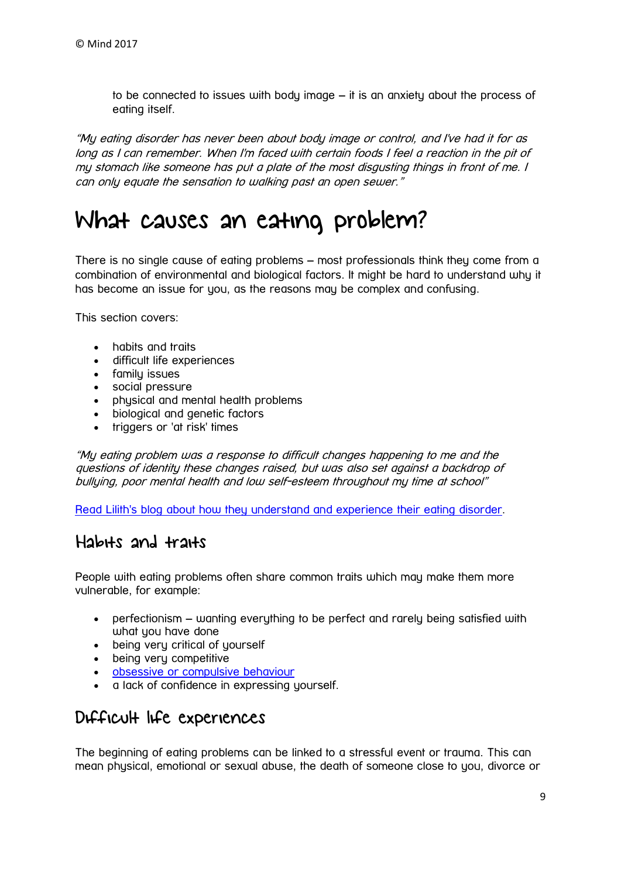to be connected to issues with body image – it is an anxiety about the process of eating itself.

"My eating disorder has never been about body image or control, and I've had it for as long as I can remember. When I'm faced with certain foods I feel a reaction in the pit of my stomach like someone has put a plate of the most disgusting things in front of me. I can only equate the sensation to walking past an open sewer."

# <span id="page-8-0"></span>What causes an eating problem?

There is no single cause of eating problems – most professionals think they come from a combination of environmental and biological factors. It might be hard to understand why it has become an issue for you, as the reasons may be complex and confusing.

This section covers:

- habits and traits
- difficult life experiences
- family issues
- social pressure
- physical and mental health problems
- biological and genetic factors
- triggers or 'at risk' times

"My eating problem was a response to difficult changes happening to me and the questions of identity these changes raised, but was also set against a backdrop of bullying, poor mental health and low self-esteem throughout my time at school"

[Read Lilith's blog about how they understand and experience their eating disorder.](https://www.mind.org.uk/information-support/your-stories/can-you-be-a-feminist-and-have-an-eating-disorder/#.WHeY0WSLQlI)

## Habits and traits

People with eating problems often share common traits which may make them more vulnerable, for example:

- perfectionism wanting everything to be perfect and rarely being satisfied with what you have done
- being very critical of yourself
- being very competitive
- [obsessive or compulsive behaviour](https://www.mind.org.uk/information-support/types-of-mental-health-problems/obsessive-compulsive-disorder-ocd/about-obsessive-compulsive-disorder/#.WJGfDctFDcs)
- a lack of confidence in expressing yourself.

## Difficult life experiences

The beginning of eating problems can be linked to a stressful event or trauma. This can mean physical, emotional or sexual abuse, the death of someone close to you, divorce or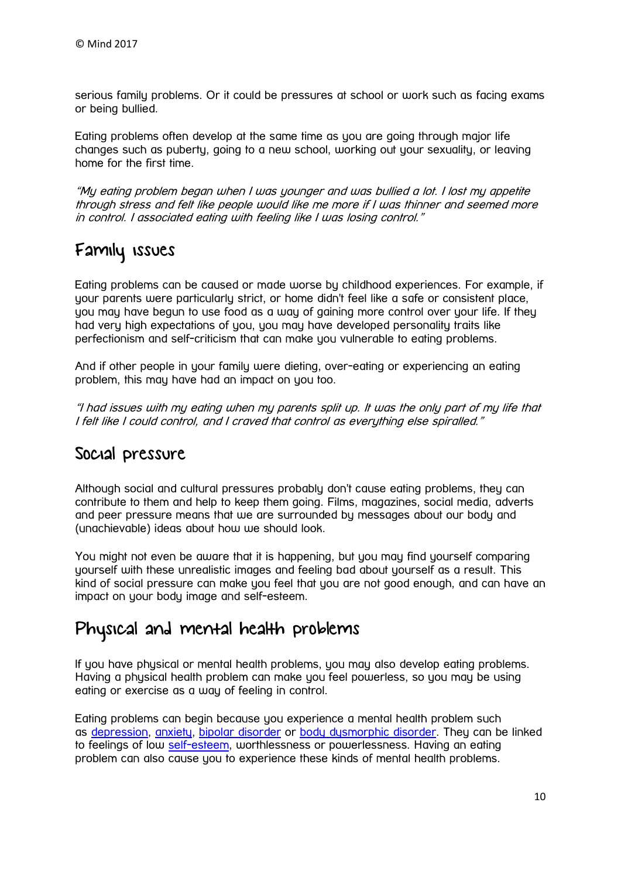serious family problems. Or it could be pressures at school or work such as facing exams or being bullied.

Eating problems often develop at the same time as you are going through major life changes such as puberty, going to a new school, working out your sexuality, or leaving home for the first time.

"My eating problem began when I was younger and was bullied a lot. I lost my appetite through stress and felt like people would like me more if I was thinner and seemed more in control. I associated eating with feeling like I was losing control."

# Family issues

Eating problems can be caused or made worse by childhood experiences. For example, if your parents were particularly strict, or home didn't feel like a safe or consistent place, you may have begun to use food as a way of gaining more control over your life. If they had very high expectations of you, you may have developed personality traits like perfectionism and self-criticism that can make you vulnerable to eating problems.

And if other people in your family were dieting, over-eating or experiencing an eating problem, this may have had an impact on you too.

"I had issues with my eating when my parents split up. It was the only part of my life that I felt like I could control, and I craved that control as everything else spiralled."

### Social pressure

Although social and cultural pressures probably don't cause eating problems, they can contribute to them and help to keep them going. Films, magazines, social media, adverts and peer pressure means that we are surrounded by messages about our body and (unachievable) ideas about how we should look.

You might not even be aware that it is happening, but you may find yourself comparing yourself with these unrealistic images and feeling bad about yourself as a result. This kind of social pressure can make you feel that you are not good enough, and can have an impact on your body image and self-esteem.

# Physical and mental health problems

If you have physical or mental health problems, you may also develop eating problems. Having a physical health problem can make you feel powerless, so you may be using eating or exercise as a way of feeling in control.

Eating problems can begin because you experience a mental health problem such as [depression,](https://www.mind.org.uk/information-support/types-of-mental-health-problems/depression/#.WJHDvstFDcs) [anxiety,](https://www.mind.org.uk/information-support/types-of-mental-health-problems/anxiety-and-panic-attacks/about-anxiety/#.WJHD7ctFDcs) [bipolar disorder](https://www.mind.org.uk/information-support/types-of-mental-health-problems/bipolar-disorder/#.WJHEB8tFDcs) or [body dysmorphic disorder.](https://www.mind.org.uk/information-support/types-of-mental-health-problems/body-dysmorphic-disorder-bdd/#.WJHEIctFDcs) They can be linked to feelings of low [self-esteem,](https://www.mind.org.uk/information-support/types-of-mental-health-problems/self-esteem/) worthlessness or powerlessness. Having an eating problem can also cause you to experience these kinds of mental health problems.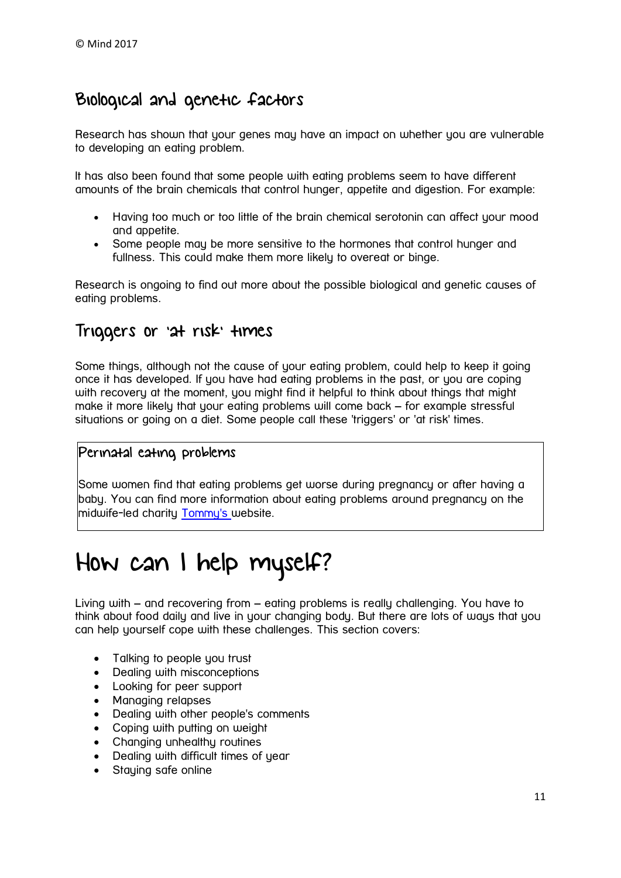# Biological and genetic factors

Research has shown that your genes may have an impact on whether you are vulnerable to developing an eating problem.

It has also been found that some people with eating problems seem to have different amounts of the brain chemicals that control hunger, appetite and digestion. For example:

- Having too much or too little of the brain chemical serotonin can affect your mood and appetite.
- Some people may be more sensitive to the hormones that control hunger and fullness. This could make them more likely to overeat or binge.

Research is ongoing to find out more about the possible biological and genetic causes of eating problems.

### Triggers or 'at risk' times

Some things, although not the cause of your eating problem, could help to keep it going once it has developed. If you have had eating problems in the past, or you are coping with recovery at the moment, you might find it helpful to think about things that might make it more likely that your eating problems will come back – for example stressful situations or going on a diet. Some people call these 'triggers' or 'at risk' times.

### Perinatal eating problems

Some women find that eating problems get worse during pregnancy or after having a baby. You can find more information about eating problems around pregnancy on the midwife-led charity [Tommy's](https://www.tommys.org/pregnancy-information/im-pregnant/mental-wellbeing/specific-mental-health-conditions/eating) website.

# <span id="page-10-0"></span>How can I help myself?

Living with – and recovering from – eating problems is really challenging. You have to think about food daily and live in your changing body. But there are lots of ways that you can help yourself cope with these challenges. This section covers:

- Talking to people you trust
- Dealing with misconceptions
- Looking for peer support
- Managing relapses
- Dealing with other people's comments
- Coping with putting on weight
- Chanaina unhealthu routines
- Dealing with difficult times of year
- Staying safe online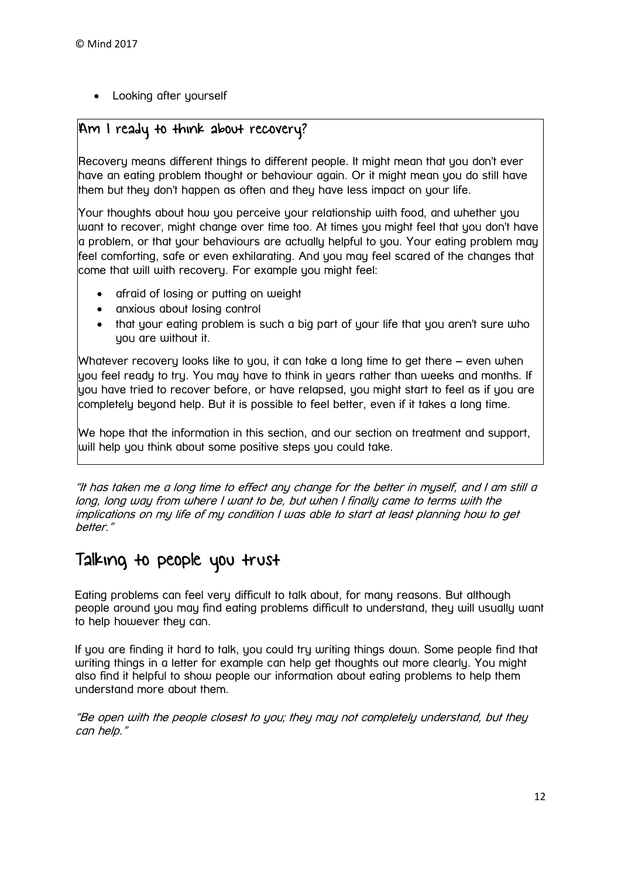Looking after yourself

### Am I ready to think about recovery?

Recovery means different things to different people. It might mean that you don't ever have an eating problem thought or behaviour again. Or it might mean you do still have them but they don't happen as often and they have less impact on your life.

Your thoughts about how you perceive your relationship with food, and whether you want to recover, might change over time too. At times you might feel that you don't have a problem, or that your behaviours are actually helpful to you. Your eating problem may feel comforting, safe or even exhilarating. And you may feel scared of the changes that come that will with recovery. For example you might feel:

- afraid of losing or putting on weight
- anxious about losing control
- that your eating problem is such a big part of your life that you aren't sure who you are without it.

Whatever recovery looks like to you, it can take a long time to get there – even when you feel ready to try. You may have to think in years rather than weeks and months. If you have tried to recover before, or have relapsed, you might start to feel as if you are completely beyond help. But it is possible to feel better, even if it takes a long time.

We hope that the information in this section, and our section on treatment and support, will help you think about some positive steps you could take.

"It has taken me a long time to effect any change for the better in myself, and I am still a long, long way from where I want to be, but when I finally came to terms with the implications on my life of my condition I was able to start at least planning how to get better."

# Talking to people you trust

Eating problems can feel very difficult to talk about, for many reasons. But although people around you may find eating problems difficult to understand, they will usually want to help however they can.

If you are finding it hard to talk, you could try writing things down. Some people find that writing things in a letter for example can help get thoughts out more clearly. You might also find it helpful to show people our information about eating problems to help them understand more about them.

"Be open with the people closest to you; they may not completely understand, but they can help."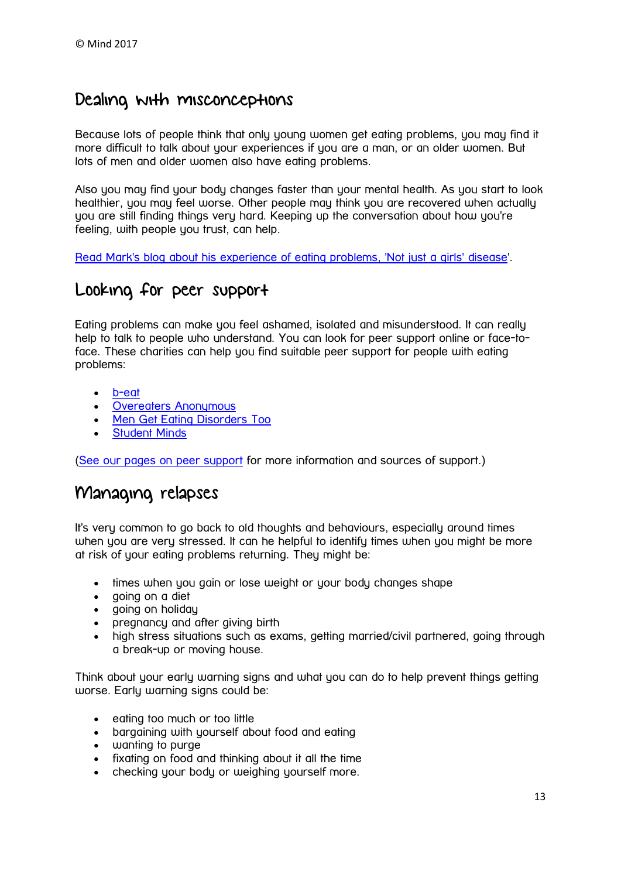### Dealing with misconceptions

Because lots of people think that only young women get eating problems, you may find it more difficult to talk about your experiences if you are a man, or an older women. But lots of men and older women also have eating problems.

Also you may find your body changes faster than your mental health. As you start to look healthier, you may feel worse. Other people may think you are recovered when actually you are still finding things very hard. Keeping up the conversation about how you're feeling, with people you trust, can help.

[Read Mark's blog about his experience of eating problems, 'Not just a girls'](https://www.mind.org.uk/information-support/your-stories/not-just-a-girls-disease/#.WJRQh2SLSAw) disease'.

## Looking for peer support

Eating problems can make you feel ashamed, isolated and misunderstood. It can really help to talk to people who understand. You can look for peer support online or face-toface. These charities can help you find suitable peer support for people with eating problems:

- [b-eat](https://www.b-eat.co.uk/)
- Overeaters Anonumous
- [Men Get Eating Disorders Too](http://mengetedstoo.co.uk/)
- [Student Minds](http://www.studentminds.org.uk/supportforme.html)

[\(See our pages on peer support](https://www.mind.org.uk/information-support/drugs-and-treatments/peer-support/) for more information and sources of support.)

### Managing relapses

It's very common to go back to old thoughts and behaviours, especially around times when you are very stressed. It can he helpful to identify times when you might be more at risk of your eating problems returning. They might be:

- times when you gain or lose weight or your body changes shape
- aoina on a diet
- going on holiday
- **pregnancy and after giving birth**
- high stress situations such as exams, getting married/civil partnered, going through a break-up or moving house.

Think about your early warning signs and what you can do to help prevent things getting worse. Early warning signs could be:

- eating too much or too little
- bargaining with yourself about food and eating
- wanting to purge
- fixating on food and thinking about it all the time
- checking your body or weighing yourself more.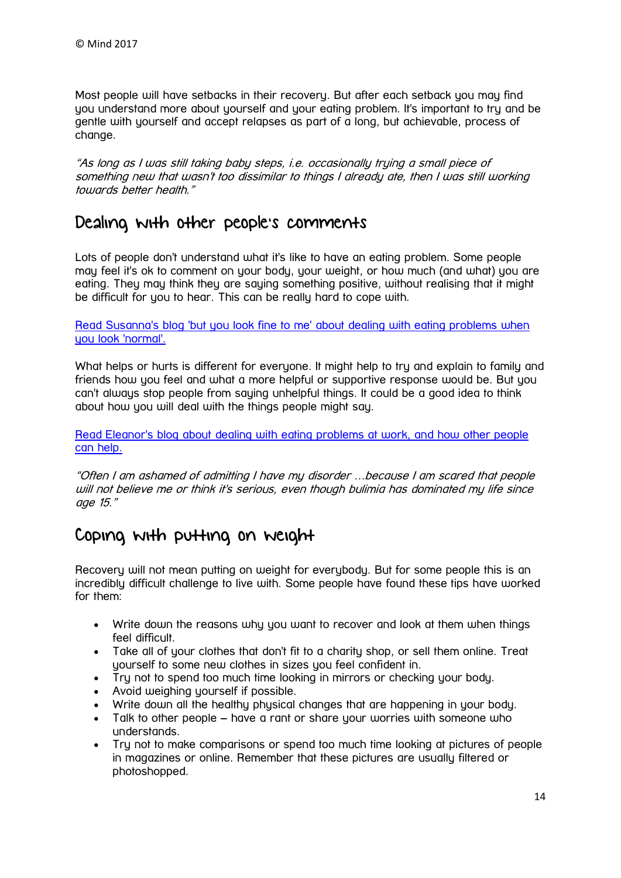Most people will have setbacks in their recovery. But after each setback you may find you understand more about yourself and your eating problem. It's important to try and be gentle with yourself and accept relapses as part of a long, but achievable, process of change.

"As long as I was still taking baby steps, i.e. occasionally trying a small piece of something new that wasn't too dissimilar to things I already ate, then I was still working towards better health."

### Dealing with other people's comments

Lots of people don't understand what it's like to have an eating problem. Some people may feel it's ok to comment on your body, your weight, or how much (and what) you are eating. They may think they are saying something positive, without realising that it might be difficult for you to hear. This can be really hard to cope with.

Read Susanna's blog 'but you look fine to me' [about dealing with eating problems](https://www.mind.org.uk/information-support/your-stories/but-you-look-fine-to-me/#.WJRsMmSLQlI) when uou look 'normal'.

What helps or hurts is different for everyone. It might help to try and explain to family and friends how you feel and what a more helpful or supportive response would be. But you can't always stop people from saying unhelpful things. It could be a good idea to think about how you will deal with the things people might say.

[Read Eleanor's blog about dealing with eating problems at work, and how other people](https://www.mind.org.uk/information-support/your-stories/eating-problems-at-work-how-you-can-help/#.WVDzr-vyuM9)  [can help.](https://www.mind.org.uk/information-support/your-stories/eating-problems-at-work-how-you-can-help/#.WVDzr-vyuM9)

"Often I am ashamed of admitting I have my disorder …because I am scared that people will not believe me or think it's serious, even though bulimia has dominated my life since age 15."

# Coping with putting on weight

Recovery will not mean putting on weight for everybody. But for some people this is an incredibly difficult challenge to live with. Some people have found these tips have worked for them:

- Write down the reasons why you want to recover and look at them when things feel difficult.
- Take all of your clothes that don't fit to a charity shop, or sell them online. Treat yourself to some new clothes in sizes you feel confident in.
- Try not to spend too much time looking in mirrors or checking your body.
- Avoid weighing yourself if possible.
- Write down all the healthy physical changes that are happening in your body.
- Talk to other people have a rant or share your worries with someone who understands.
- Try not to make comparisons or spend too much time looking at pictures of people in magazines or online. Remember that these pictures are usually filtered or photoshopped.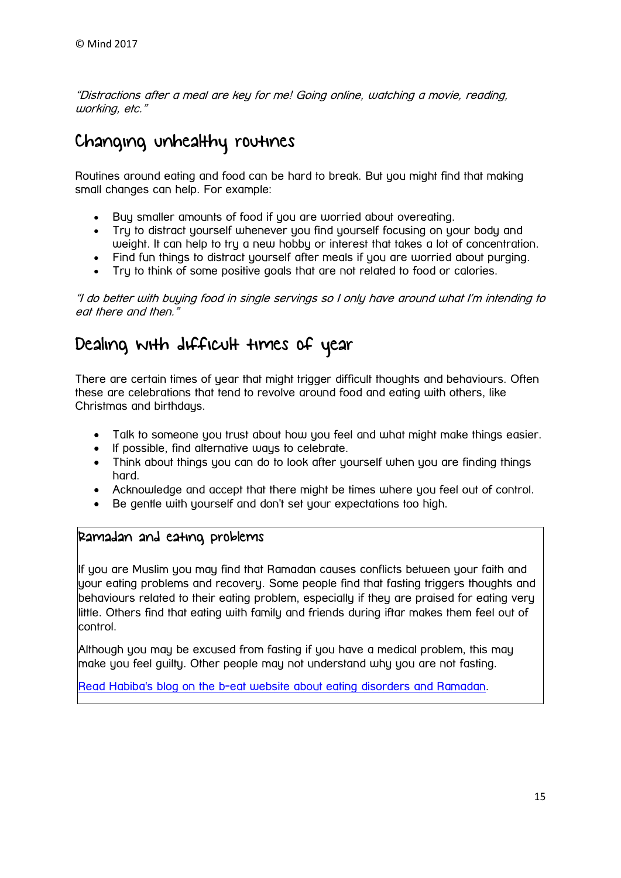"Distractions after a meal are key for me! Going online, watching a movie, reading, working, etc."

# Changing unhealthy routines

Routines around eating and food can be hard to break. But you might find that making small changes can help. For example:

- Buy smaller amounts of food if you are worried about overeating.
- Try to distract yourself whenever you find yourself focusing on your body and weight. It can help to try a new hobby or interest that takes a lot of concentration.
- Find fun things to distract yourself after meals if you are worried about purging.
- Try to think of some positive goals that are not related to food or calories.

"I do better with buying food in single servings so I only have around what I'm intending to eat there and then.'

# Dealing with difficult times of year

There are certain times of year that might trigger difficult thoughts and behaviours. Often these are celebrations that tend to revolve around food and eating with others, like Christmas and birthdaus.

- Talk to someone you trust about how you feel and what might make things easier.
- If possible, find alternative ways to celebrate.
- Think about things you can do to look after yourself when you are finding things hard.
- Acknowledge and accept that there might be times where you feel out of control.
- Be gentle with yourself and don't set your expectations too high.

### Ramadan and eating problems

If you are Muslim you may find that Ramadan causes conflicts between your faith and your eating problems and recovery. Some people find that fasting triggers thoughts and behaviours related to their eating problem, especially if they are praised for eating very little. Others find that eating with family and friends during iftar makes them feel out of control.

Although you may be excused from fasting if you have a medical problem, this may make you feel guilty. Other people may not understand why you are not fasting.

Read Habiba's blog on the b-eat website about [eating disorders and Ramadan.](https://www.beateatingdisorders.org.uk/your-stories/ramadan-grips-of-anorexia)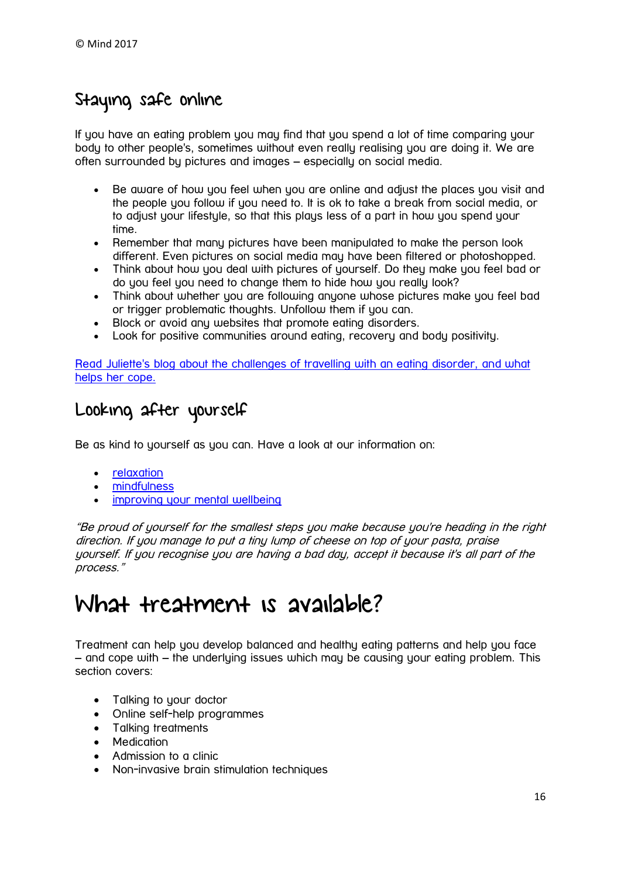# Staying safe online

If you have an eating problem you may find that you spend a lot of time comparing your body to other people's, sometimes without even really realising you are doing it. We are often surrounded by pictures and images – especially on social media.

- Be aware of how you feel when you are online and adjust the places you visit and the people you follow if you need to. It is ok to take a break from social media, or to adjust your lifestyle, so that this plays less of a part in how you spend your time.
- Remember that many pictures have been manipulated to make the person look different. Even pictures on social media may have been filtered or photoshopped.
- Think about how you deal with pictures of yourself. Do they make you feel bad or do you feel you need to change them to hide how you really look?
- Think about whether you are following anyone whose pictures make you feel bad or trigger problematic thoughts. Unfollow them if you can.
- Block or avoid any websites that promote eating disorders.
- Look for positive communities around eating, recovery and body positivity.

Read Juliette's blog about [the challenges of travelling with an eating disorder,](https://www.mind.org.uk/information-support/your-stories/travelling-with-eating-disorders/#.WJRs_2SLQlI) and what [helps her cope.](https://www.mind.org.uk/information-support/your-stories/travelling-with-eating-disorders/#.WJRs_2SLQlI)

# Looking after yourself

Be as kind to yourself as you can. Have a look at our information on:

- [relaxation](https://www.mind.org.uk/information-support/tips-for-everyday-living/relaxation/)
- [mindfulness](https://www.mind.org.uk/information-support/drugs-and-treatments/mindfulness/)
- [improving your mental wellbeing](https://www.mind.org.uk/information-support/tips-for-everyday-living/wellbeing/)

"Be proud of yourself for the smallest steps you make because you're heading in the right direction. If you manage to put a tiny lump of cheese on top of your pasta, praise yourself. If you recognise you are having a bad day, accept it because it's all part of the process."

# <span id="page-15-0"></span>What treatment is available?

Treatment can help you develop balanced and healthy eating patterns and help you face – and cope with – the underlying issues which may be causing your eating problem. This section covers:

- Talking to your doctor
- Online self-help programmes
- Talking treatments
- Medication
- Admission to a clinic
- Non-invasive brain stimulation techniques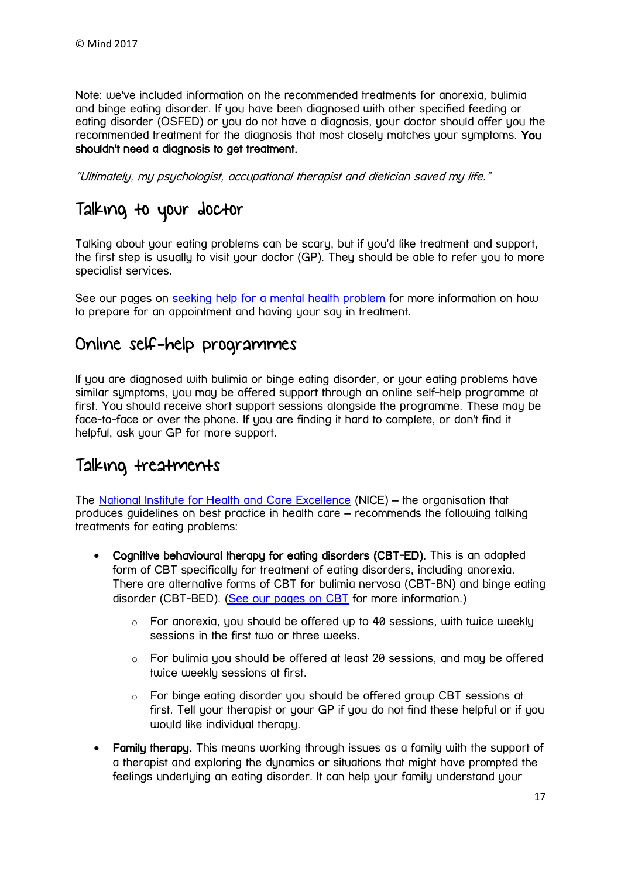Note: we've included information on the recommended treatments for anorexia, bulimia and binge eating disorder. If you have been diagnosed with other specified feeding or eating disorder (OSFED) or you do not have a diagnosis, your doctor should offer you the recommended treatment for the diagnosis that most closely matches your symptoms. You shouldn't need a diagnosis to get treatment.

"Ultimately, my psychologist, occupational therapist and dietician saved my life."

# Talking to your doctor

Talking about your eating problems can be scary, but if you'd like treatment and support, the first step is usually to visit your doctor (GP). They should be able to refer you to more specialist services.

See our pages on [seeking help for a mental health problem](https://www.mind.org.uk/information-support/guides-to-support-and-services/seeking-help-for-a-mental-health-problem/#.XPUtLxZKiM8) for more information on how to prepare for an appointment and having your say in treatment.

## Online self-help programmes

If you are diagnosed with bulimia or binge eating disorder, or your eating problems have similar sumptoms, you may be offered support through an online self-help programme at first. You should receive short support sessions alongside the programme. These may be face-to-face or over the phone. If you are finding it hard to complete, or don't find it helpful, ask your GP for more support.

## Talking treatments

The [National Institute for Health and Care Excellence](https://www.nice.org.uk/guidance/cg9/chapter/1-Guidance#care-across-all-conditions) (NICE) – the organisation that produces guidelines on best practice in health care – recommends the following talking treatments for eating problems:

- Cognitive behavioural therapy for eating disorders (CBT-ED). This is an adapted form of CBT specifically for treatment of eating disorders, including anorexia. There are alternative forms of CBT for bulimia nervosa (CBT-BN) and binge eating disorder (CBT-BED). [\(See our pages on CBT](https://www.mind.org.uk/information-support/drugs-and-treatments/cognitive-behavioural-therapy-cbt/) for more information.)
	- o For anorexia, you should be offered up to 40 sessions, with twice weekly sessions in the first tujo or three weeks.
	- $\circ$  For bulimig you should be offered at least 20 sessions, and may be offered twice weekly sessions at first.
	- $\circ$  For binge eating disorder you should be offered group CBT sessions at first. Tell your therapist or your GP if you do not find these helpful or if you would like individual therapy.
- Family therapy. This means working through issues as a family with the support of a therapist and exploring the dynamics or situations that might have prompted the feelings underlying an eating disorder. It can help your family understand your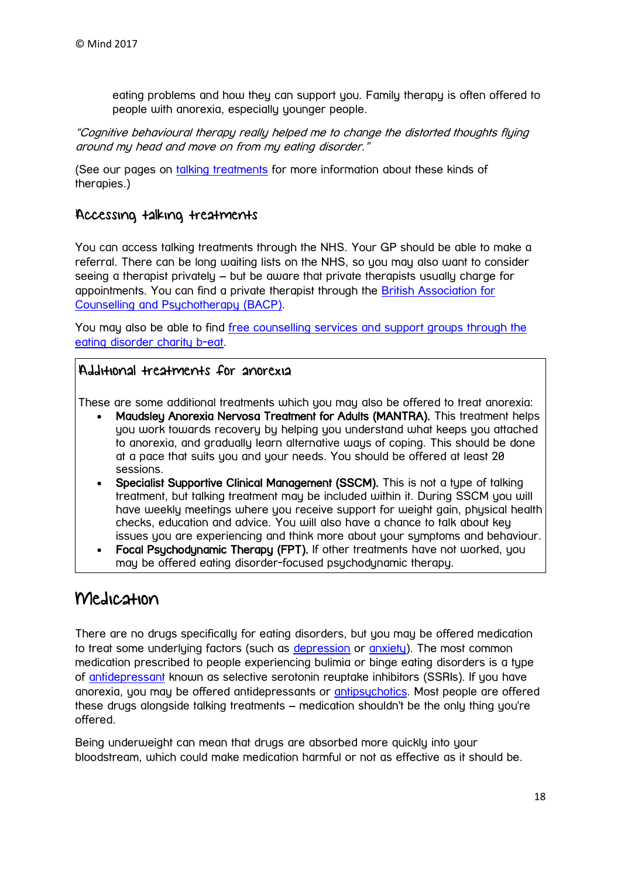eating problems and how they can support you. Family therapy is often offered to people with anorexia, especially younger people.

"Cognitive behavioural therapy really helped me to change the distorted thoughts flying around my head and move on from my eating disorder."

(See our pages on [talking treatments](https://www.mind.org.uk/information-support/drugs-and-treatments/talking-therapy-and-counselling/) for more information about these kinds of therapies.)

### Accessing talking treatments

You can access talking treatments through the NHS. Your GP should be able to make a referral. There can be long waiting lists on the NHS, so you may also want to consider seeing a therapist privately – but be aware that private therapists usually charge for appointments. You can find a private therapist through the [British Association for](http://itsgoodtotalk.org.uk/)  [Counselling and Psychotherapy \(BACP\).](http://itsgoodtotalk.org.uk/)

You may also be able to find [free counselling services and support groups through the](https://www.b-eat.co.uk/support-services)  [eating disorder charity](https://www.b-eat.co.uk/support-services) b-eat.

### Additional treatments for anorexia

These are some additional treatments which you may also be offered to treat anorexia:

- Maudsley Anorexia Nervosa Treatment for Adults (MANTRA). This treatment helps you work towards recovery by helping you understand what keeps you attached to anorexia, and gradually learn alternative ways of coping. This should be done at a pace that suits you and your needs. You should be offered at least 20 sessions.
- Specialist Supportive Clinical Management (SSCM). This is not a type of talking treatment, but talking treatment may be included within it. During SSCM you will have weekly meetings where you receive support for weight gain, physical health checks, education and advice. You will also have a chance to talk about key issues you are experiencing and think more about your symptoms and behaviour.
- Focal Psychodynamic Therapy (FPT). If other treatments have not worked, you may be offered eating disorder-focused psychodynamic therapy.

## Medication

There are no drugs specifically for eating disorders, but you may be offered medication to treat some underlying factors (such as [depression](https://www.mind.org.uk/information-support/types-of-mental-health-problems/depression/) or [anxiety\)](https://www.mind.org.uk/information-support/types-of-mental-health-problems/anxiety-and-panic-attacks/). The most common medication prescribed to people experiencing bulimia or binge eating disorders is a type of [antidepressant](https://www.mind.org.uk/information-support/drugs-and-treatments/antidepressants/) known as selective serotonin reuptake inhibitors (SSRIs). If you have anorexia, you may be offered antidepressants or [antipsychotics.](https://www.mind.org.uk/information-support/drugs-and-treatments/antipsychotics/) Most people are offered these drugs alongside talking treatments – medication shouldn't be the only thing you're offered.

Being underweight can mean that drugs are absorbed more quickly into your bloodstream, which could make medication harmful or not as effective as it should be.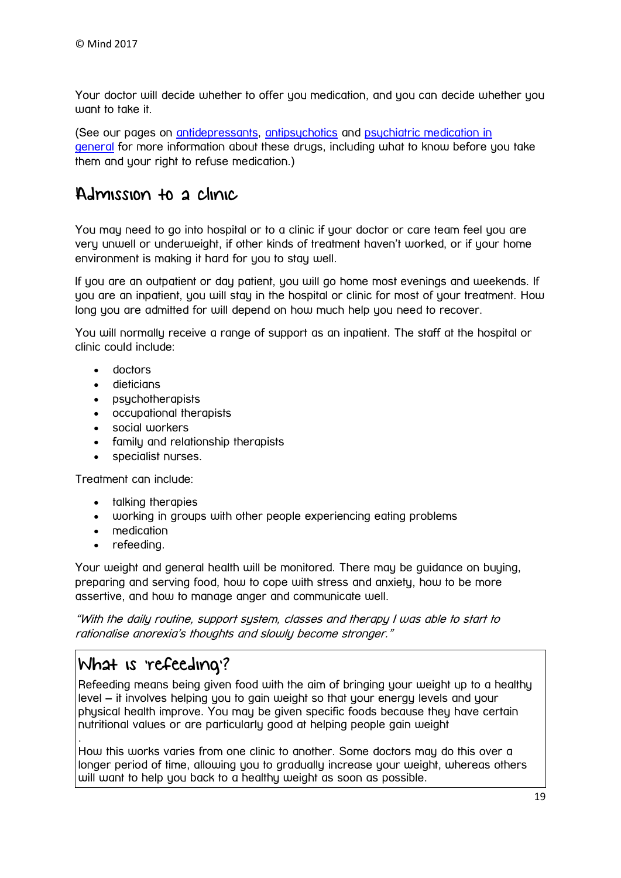Your doctor will decide whether to offer you medication, and you can decide whether you want to take it.

(See our pages on [antidepressants,](https://www.mind.org.uk/information-support/drugs-and-treatments/antidepressants/) [antipsychotics](https://www.mind.org.uk/information-support/drugs-and-treatments/antipsychotics/) and [psychiatric medication in](https://www.mind.org.uk/information-support/drugs-and-treatments/medication/)  [general](https://www.mind.org.uk/information-support/drugs-and-treatments/medication/) for more information about these drugs, including what to know before you take them and your right to refuse medication.)

## Admission to a clinic

You may need to go into hospital or to a clinic if your doctor or care team feel you are very unwell or underweight, if other kinds of treatment haven't worked, or if your home environment is making it hard for you to stay well.

If you are an outpatient or day patient, you will go home most evenings and weekends. If you are an inpatient, you will stay in the hospital or clinic for most of your treatment. How long you are admitted for will depend on how much help you need to recover.

You will normally receive a range of support as an inpatient. The staff at the hospital or clinic could include:

- doctors
- dieticians
- psychotherapists
- occupational therapists
- social workers
- family and relationship therapists
- specialist nurses.

Treatment can include:

- talking therapies
- working in groups with other people experiencing eating problems
- medication
- refeeding.

Your weight and general health will be monitored. There may be aujdance on buying, preparing and serving food, how to cope with stress and anxiety, how to be more assertive, and how to manage anger and communicate well.

"With the daily routine, support system, classes and therapy I was able to start to rationalise anorexia's thoughts and slowly become stronger."

# What is 'refeeding'?

Refeeding means being given food with the aim of bringing your weight up to a healthy level – it involves helping you to gain weight so that your energy levels and your physical health improve. You may be given specific foods because they have certain nutritional values or are particularly good at helping people gain weight .

How this works varies from one clinic to another. Some doctors may do this over a longer period of time, allowing you to gradually increase your weight, whereas others will want to help you back to a healthy weight as soon as possible.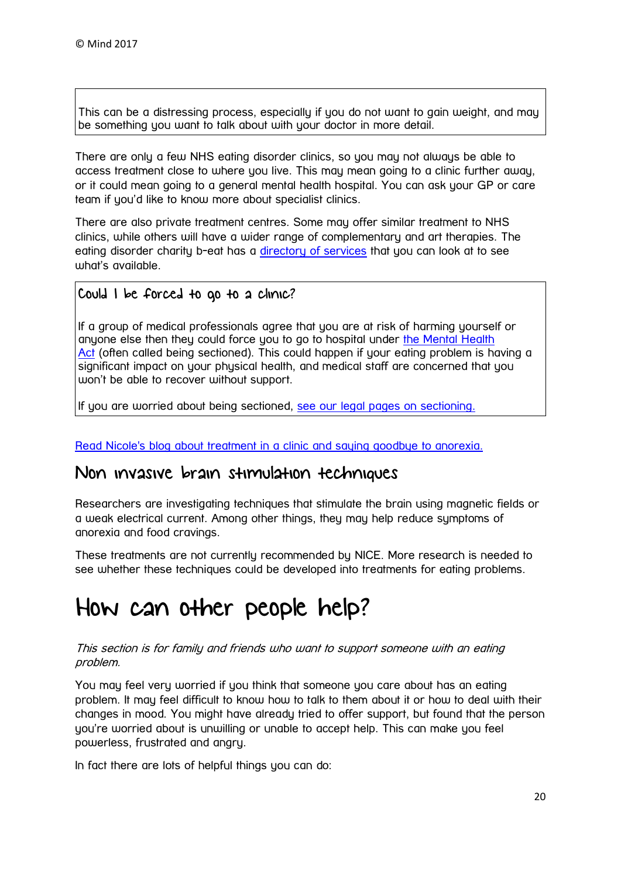This can be a distressing process, especially if you do not want to gain weight, and may be something you want to talk about with your doctor in more detail.

There are only a few NHS eating disorder clinics, so you may not always be able to access treatment close to where you live. This may mean going to a clinic further away, or it could mean going to a general mental health hospital. You can ask your GP or care team if you'd like to know more about specialist clinics.

There are also private treatment centres. Some may offer similar treatment to NHS clinics, while others will have a wider range of complementary and art therapies. The eating disorder charity b-eat has a [directory of services](http://helpfinder.b-eat.co.uk/) that you can look at to see what's available.

### Could I be forced to go to a clinic?

If a group of medical professionals agree that you are at risk of harming yourself or anyone else then they could force you to go to hospital under the Mental Health [Act](https://www.mind.org.uk/information-support/legal-rights/mental-health-act-1983/) (often called being sectioned). This could happen if your eating problem is having a significant impact on your physical health, and medical staff are concerned that you won't be able to recover without support.

If you are worried about being sectioned, [see our legal pages on sectioning.](https://www.mind.org.uk/information-support/legal-rights/sectioning/)

[Read Nicole's blog about treatment in a clinic and saying](https://www.mind.org.uk/information-support/your-stories/saying-goodbye-to-anorexia/#.WJRGwmSLQlJ) goodbye to anorexia.

### Non invasive brain stimulation techniques

Researchers are investigating techniques that stimulate the brain using magnetic fields or a weak electrical current. Among other things, they may help reduce symptoms of anorexia and food cravings.

These treatments are not currently recommended by NICE. More research is needed to see whether these techniques could be developed into treatments for eating problems.

# <span id="page-19-0"></span>How can other people help?

### This section is for family and friends who want to support someone with an eating problem.

You may feel very worried if you think that someone you care about has an eating problem. It may feel difficult to know how to talk to them about it or how to deal with their changes in mood. You might have already tried to offer support, but found that the person you're worried about is unwilling or unable to accept help. This can make you feel powerless, frustrated and angry.

In fact there are lots of helpful things you can do: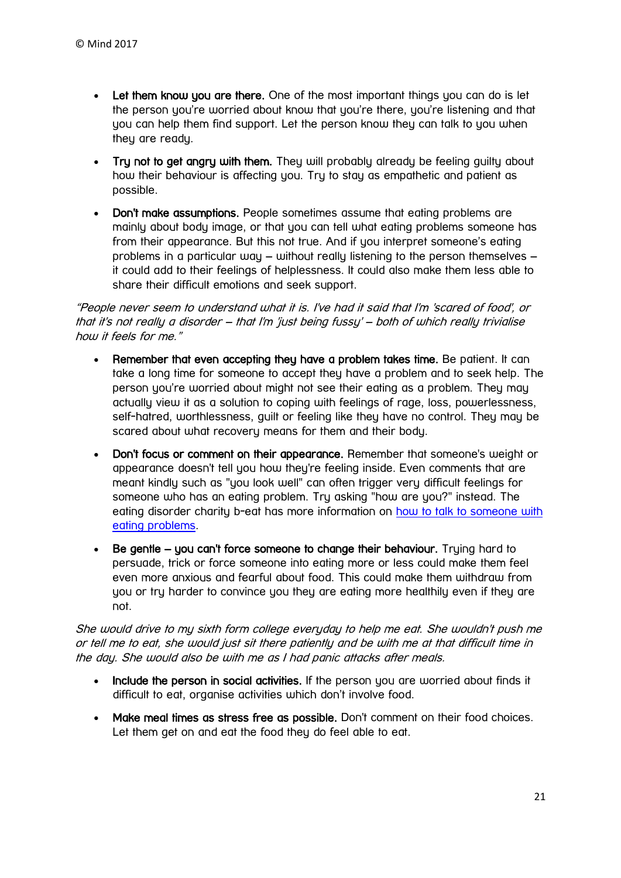- Let them know you are there. One of the most important things you can do is let the person you're worried about know that you're there, you're listening and that you can help them find support. Let the person know they can talk to you when they are ready.
- Try not to get angry with them. They will probably already be feeling guilty about how their behaviour is affecting you. Try to stay as empathetic and patient as possible.
- Don't make assumptions. People sometimes assume that eating problems are mainly about body image, or that you can tell what eating problems someone has from their appearance. But this not true. And if you interpret someone's eating problems in a particular way – without really listening to the person themselves – it could add to their feelings of helplessness. It could also make them less able to share their difficult emotions and seek support.

"People never seem to understand what it is. I've had it said that I'm 'scared of food', or that it's not really a disorder – that I'm 'just being fussy' – both of which really trivialise how it feels for me."

- Remember that even accepting they have a problem takes time. Be patient. It can take a long time for someone to accept they have a problem and to seek help. The person you're worried about might not see their eating as a problem. They may actually view it as a solution to coping with feelings of rage, loss, powerlessness, self-hatred, worthlessness, quilt or feeling like they have no control. They may be scared about what recovery means for them and their body.
- Don't focus or comment on their appearance. Remember that someone's weight or appearance doesn't tell you how they're feeling inside. Even comments that are meant kindly such as "you look well" can often trigger very difficult feelings for someone who has an eating problem. Try asking "how are you?" instead. The eating disorder charity b-eat has more information on how to talk to someone with [eating problems.](https://www.beateatingdisorders.org.uk/recovery-information/tell-someone)
- Be gentle you can't force someone to change their behaviour. Trying hard to persuade, trick or force someone into eating more or less could make them feel even more anxious and fearful about food. This could make them withdraw from you or try harder to convince you they are eating more healthily even if they are not.

She would drive to my sixth form college everyday to help me eat. She wouldn't push me or tell me to eat, she would just sit there patiently and be with me at that difficult time in the day. She would also be with me as I had panic attacks after meals.

- Include the person in social activities. If the person you are worried about finds it difficult to eat, organise activities which don't involve food.
- Make meal times as stress free as possible. Don't comment on their food choices. Let them get on and eat the food they do feel able to eat.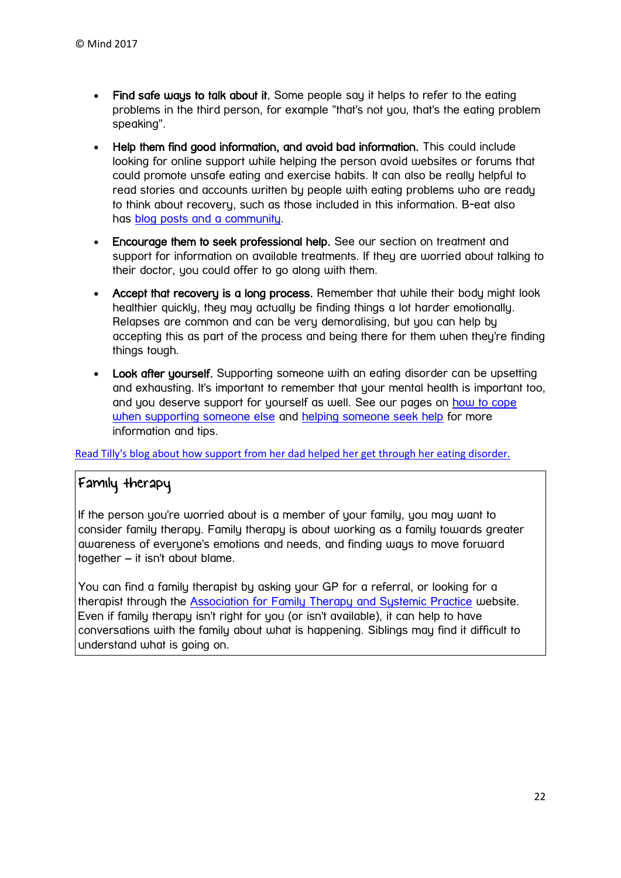- Find safe ways to talk about it. Some people say it helps to refer to the eating problems in the third person, for example "that's not you, that's the eating problem speaking".
- Help them find good information, and avoid bad information. This could include looking for online support while helping the person avoid websites or forums that could promote unsafe eating and exercise habits. It can also be really helpful to read stories and accounts written by people with eating problems who are ready to think about recovery, such as those included in [this](https://www.mind.org.uk/information-support/types-of-mental-health-problems/eating-problems/) information. B-eat also has [blog posts and a community.](https://www.b-eat.co.uk/latest)
- Encourage them to seek professional help. See our section on treatment and support for information on available treatments. If they are worried about talking to their doctor, you could offer to go along with them.
- Accept that recovery is a long process. Remember that while their body might look healthier quickly, they may actually be finding things a lot harder emotionally. Relapses are common and can be very demoralising, but you can help by accepting this as part of the process and being there for them when they're finding things tough.
- Look after yourself. Supporting someone with an eating disorder can be upsetting and exhausting. It's important to remember that your mental health is important too, and you deserve support for yourself as well. See our pages on [how to cope](https://www.mind.org.uk/information-support/helping-someone-else/carers-friends-family-coping-support/)  [when supporting someone else](https://www.mind.org.uk/information-support/helping-someone-else/carers-friends-family-coping-support/) and [helping someone seek help](https://www.mind.org.uk/information-support/guides-to-support-and-services/seeking-help-for-a-mental-health-problem/helping-someone-else-seek-help/) for more information and tips.

[Read Tilly's blog about how support from her dad helped her get through her eating disorder.](https://www.mind.org.uk/information-support/your-stories/mental-illness-my-dad-and-me/#.WVI1klGQyM8)

### Family therapy

If the person you're worried about is a member of your family, you may want to consider family therapy. Family therapy is about working as a family towards greater awareness of everyone's emotions and needs, and finding ways to move forward together – it isn't about blame.

<span id="page-21-0"></span>You can find a family therapist by asking your GP for a referral, or looking for a therapist through the Association for Family [Therapy and Systemic Practice](http://www.aft.org.uk/) website. Even if family therapy isn't right for you (or isn't available), it can help to have conversations with the family about what is happening. Siblings may find it difficult to understand what is going on.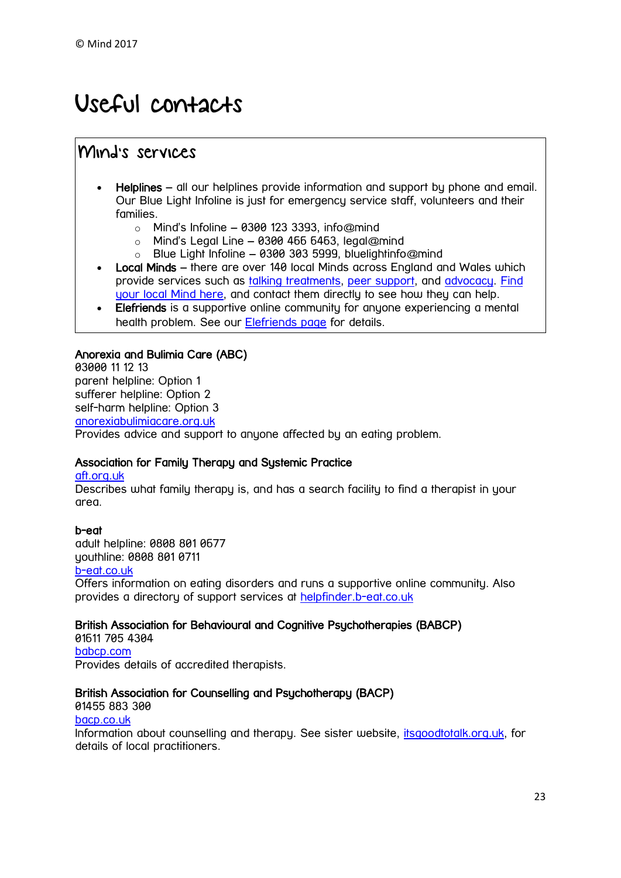# Useful contacts

## Mind's services

- Helplines all our helplines provide information and support by phone and email. Our Blue Light Infoline is just for emergency service staff, volunteers and their families.
	- $\circ$  Mind's Infoline 0300 123 3393, info@mind
	- $\circ$  Mind's Legal Line 0300 466 6463, legal@mind
	- o Blue Light Infoline 0300 303 5999, bluelightinfo@mind
- Local Minds there are over 140 local Minds across England and Wales which provide services such as [talking treatments,](https://www.mind.org.uk/information-support/drugs-and-treatments/talking-treatments/) [peer support,](https://www.mind.org.uk/information-support/drugs-and-treatments/peer-support/) and [advocacy.](https://www.mind.org.uk/information-support/guides-to-support-and-services/advocacy/) [Find](https://www.mind.org.uk/information-support/local-minds/)  [your local Mind here,](https://www.mind.org.uk/information-support/local-minds/) and contact them directly to see how they can help.
- Elefriends is a supportive online community for anyone experiencing a mental health problem. See our [Elefriends page](https://www.mind.org.uk/elefriends/) for details.

### Anorexia and Bulimia Care (ABC)

03000 11 12 13 parent helpline: Option 1 sufferer helpline: Option 2 self-harm helpline: Option [3](https://www.mind.org.uk/) [anorexiabulimiacare.org.uk](http://www.anorexiabulimiacare.org.uk/)  Provides advice and support to anyone affected by an eating problem.

#### Association for Family Therapy and Systemic Practice

#### [aft.org.uk](http://www.aft.org.uk/)

Describes what family therapy is, and has a search facility to find a therapist in your area.

#### b-eat

adult helpline: 0808 801 0677 youthline: 0808 801 0711

#### [b-eat.co.uk](http://www.b-eat.co.uk/)

Offers information on eating disorders and runs a supportive online community. Also provides a directory of support services at [helpfinder.b-eat.co.uk](http://helpfinder.b-eat.co.uk/)

#### British Association for Behavioural and Cognitive Psychotherapies (BABCP)

01611 705 4304 [babcp.com](http://www.babcp.com/) Provides details of accredited therapists.

#### British Association for Counselling and Psychotherapy (BACP)

01455 883 300

### [bacp.co.uk](http://www.bacp.co.uk/)

Information about counselling and therapy. See sister website, *itsgoodtotalk.org.uk*, for details of local practitioners.